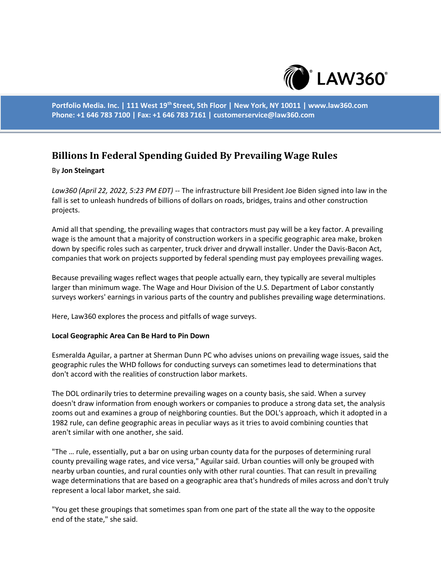

**Portfolio Media. Inc. | 111 West 19th Street, 5th Floor | New York, NY 10011 | www.law360.com Phone: +1 646 783 7100 | Fax: +1 646 783 7161 | customerservice@law360.com**

# **Billions In Federal Spending Guided By Prevailing Wage Rules**

## By **Jon Steingart**

*Law360 (April 22, 2022, 5:23 PM EDT)* -- The infrastructure bill President Joe Biden signed into law in the fall is set to unleash hundreds of billions of dollars on roads, bridges, trains and other construction projects.

Amid all that spending, the prevailing wages that contractors must pay will be a key factor. A prevailing wage is the amount that a majority of construction workers in a specific geographic area make, broken down by specific roles such as carpenter, truck driver and drywall installer. Under the Davis-Bacon Act, companies that work on projects supported by federal spending must pay employees prevailing wages.

Because prevailing wages reflect wages that people actually earn, they typically are several multiples larger than minimum wage. The Wage and Hour Division of the U.S. Department of Labor constantly surveys workers' earnings in various parts of the country and publishes prevailing wage determinations.

Here, Law360 explores the process and pitfalls of wage surveys.

### **Local Geographic Area Can Be Hard to Pin Down**

Esmeralda Aguilar, a partner at Sherman Dunn PC who advises unions on prevailing wage issues, said the geographic rules the WHD follows for conducting surveys can sometimes lead to determinations that don't accord with the realities of construction labor markets.

The DOL ordinarily tries to determine prevailing wages on a county basis, she said. When a survey doesn't draw information from enough workers or companies to produce a strong data set, the analysis zooms out and examines a group of neighboring counties. But the DOL's approach, which it adopted in a 1982 rule, can define geographic areas in peculiar ways as it tries to avoid combining counties that aren't similar with one another, she said.

"The … rule, essentially, put a bar on using urban county data for the purposes of determining rural county prevailing wage rates, and vice versa," Aguilar said. Urban counties will only be grouped with nearby urban counties, and rural counties only with other rural counties. That can result in prevailing wage determinations that are based on a geographic area that's hundreds of miles across and don't truly represent a local labor market, she said.

"You get these groupings that sometimes span from one part of the state all the way to the opposite end of the state," she said.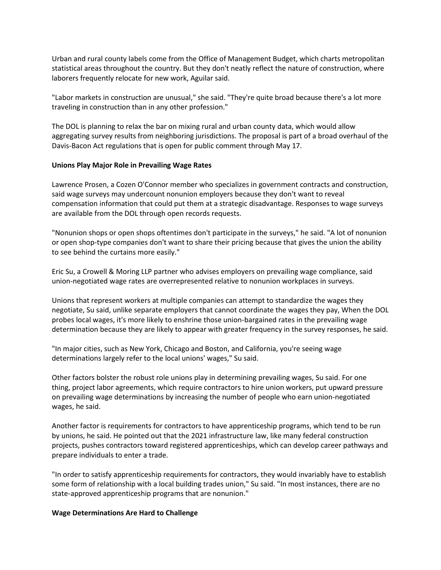Urban and rural county labels come from the Office of Management Budget, which charts metropolitan statistical areas throughout the country. But they don't neatly reflect the nature of construction, where laborers frequently relocate for new work, Aguilar said.

"Labor markets in construction are unusual," she said. "They're quite broad because there's a lot more traveling in construction than in any other profession."

The DOL is planning to relax the bar on mixing rural and urban county data, which would allow aggregating survey results from neighboring jurisdictions. The proposal is part of a broad overhaul of the Davis-Bacon Act regulations that is open for public comment through May 17.

### **Unions Play Major Role in Prevailing Wage Rates**

Lawrence Prosen, a Cozen O'Connor member who specializes in government contracts and construction, said wage surveys may undercount nonunion employers because they don't want to reveal compensation information that could put them at a strategic disadvantage. Responses to wage surveys are available from the DOL through open records requests.

"Nonunion shops or open shops oftentimes don't participate in the surveys," he said. "A lot of nonunion or open shop-type companies don't want to share their pricing because that gives the union the ability to see behind the curtains more easily."

Eric Su, a Crowell & Moring LLP partner who advises employers on prevailing wage compliance, said union-negotiated wage rates are overrepresented relative to nonunion workplaces in surveys.

Unions that represent workers at multiple companies can attempt to standardize the wages they negotiate, Su said, unlike separate employers that cannot coordinate the wages they pay, When the DOL probes local wages, it's more likely to enshrine those union-bargained rates in the prevailing wage determination because they are likely to appear with greater frequency in the survey responses, he said.

"In major cities, such as New York, Chicago and Boston, and California, you're seeing wage determinations largely refer to the local unions' wages," Su said.

Other factors bolster the robust role unions play in determining prevailing wages, Su said. For one thing, project labor agreements, which require contractors to hire union workers, put upward pressure on prevailing wage determinations by increasing the number of people who earn union-negotiated wages, he said.

Another factor is requirements for contractors to have apprenticeship programs, which tend to be run by unions, he said. He pointed out that the 2021 infrastructure law, like many federal construction projects, pushes contractors toward registered apprenticeships, which can develop career pathways and prepare individuals to enter a trade.

"In order to satisfy apprenticeship requirements for contractors, they would invariably have to establish some form of relationship with a local building trades union," Su said. "In most instances, there are no state-approved apprenticeship programs that are nonunion."

#### **Wage Determinations Are Hard to Challenge**